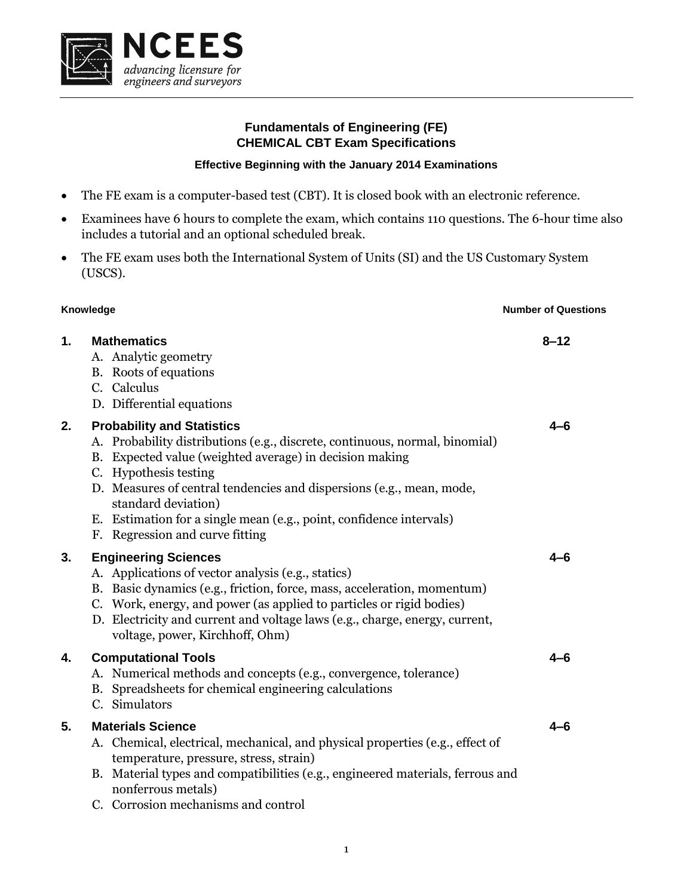

## **Fundamentals of Engineering (FE) CHEMICAL CBT Exam Specifications**

## **Effective Beginning with the January 2014 Examinations**

- The FE exam is a computer-based test (CBT). It is closed book with an electronic reference.
- Examinees have 6 hours to complete the exam, which contains 110 questions. The 6-hour time also includes a tutorial and an optional scheduled break.
- The FE exam uses both the International System of Units (SI) and the US Customary System (USCS).

## **Knowledge Number of Questions 1. Mathematics 8–12** A. Analytic geometry B. Roots of equations C. Calculus D. Differential equations **2. Probability and Statistics 4–6** A. Probability distributions (e.g., discrete, continuous, normal, binomial) B. Expected value (weighted average) in decision making C. Hypothesis testing D. Measures of central tendencies and dispersions (e.g., mean, mode, standard deviation) E. Estimation for a single mean (e.g., point, confidence intervals) F. Regression and curve fitting **3. Engineering Sciences 4–6** A. Applications of vector analysis (e.g., statics) B. Basic dynamics (e.g., friction, force, mass, acceleration, momentum) C. Work, energy, and power (as applied to particles or rigid bodies) D. Electricity and current and voltage laws (e.g., charge, energy, current, voltage, power, Kirchhoff, Ohm) **4. Computational Tools 4–6** A. Numerical methods and concepts (e.g., convergence, tolerance) B. Spreadsheets for chemical engineering calculations C. Simulators **5. Materials Science 4–6** A. Chemical, electrical, mechanical, and physical properties (e.g., effect of temperature, pressure, stress, strain) B. Material types and compatibilities (e.g., engineered materials, ferrous and nonferrous metals)

C. Corrosion mechanisms and control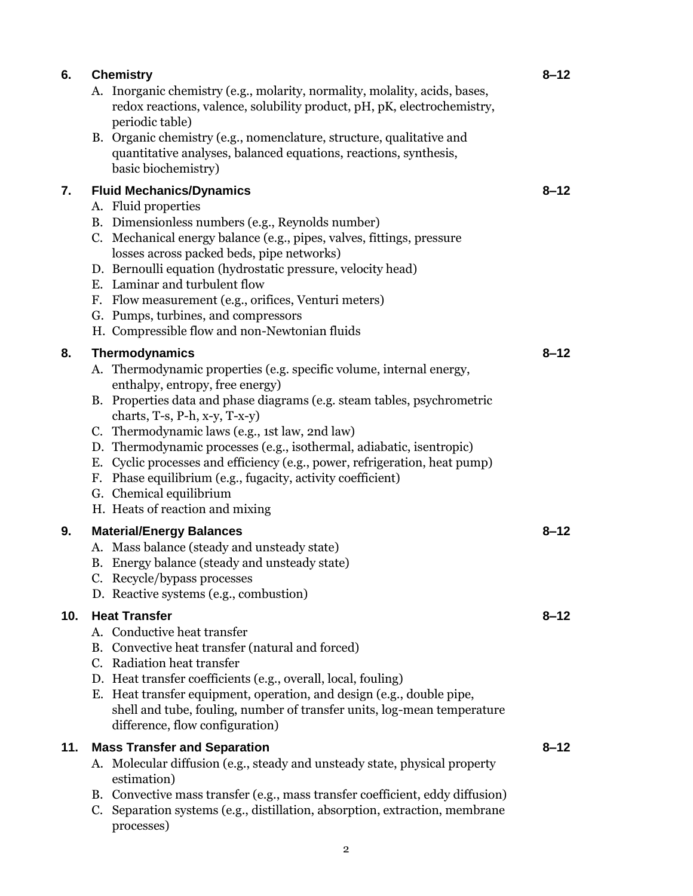| 6.  | <b>Chemistry</b>                                                                                                                                                                                                                                                                                                                                                                                                                                                                                                                                                                 | $8 - 12$ |
|-----|----------------------------------------------------------------------------------------------------------------------------------------------------------------------------------------------------------------------------------------------------------------------------------------------------------------------------------------------------------------------------------------------------------------------------------------------------------------------------------------------------------------------------------------------------------------------------------|----------|
|     | A. Inorganic chemistry (e.g., molarity, normality, molality, acids, bases,<br>redox reactions, valence, solubility product, pH, pK, electrochemistry,<br>periodic table)<br>B. Organic chemistry (e.g., nomenclature, structure, qualitative and                                                                                                                                                                                                                                                                                                                                 |          |
|     | quantitative analyses, balanced equations, reactions, synthesis,<br>basic biochemistry)                                                                                                                                                                                                                                                                                                                                                                                                                                                                                          |          |
| 7.  | <b>Fluid Mechanics/Dynamics</b><br>A. Fluid properties<br>B. Dimensionless numbers (e.g., Reynolds number)<br>C. Mechanical energy balance (e.g., pipes, valves, fittings, pressure<br>losses across packed beds, pipe networks)<br>D. Bernoulli equation (hydrostatic pressure, velocity head)<br>E. Laminar and turbulent flow<br>F. Flow measurement (e.g., orifices, Venturi meters)<br>G. Pumps, turbines, and compressors<br>H. Compressible flow and non-Newtonian fluids                                                                                                 | $8 - 12$ |
| 8.  | <b>Thermodynamics</b><br>A. Thermodynamic properties (e.g. specific volume, internal energy,<br>enthalpy, entropy, free energy)<br>B. Properties data and phase diagrams (e.g. steam tables, psychrometric<br>charts, T-s, P-h, x-y, T-x-y)<br>C. Thermodynamic laws (e.g., 1st law, 2nd law)<br>D. Thermodynamic processes (e.g., isothermal, adiabatic, isentropic)<br>E. Cyclic processes and efficiency (e.g., power, refrigeration, heat pump)<br>F. Phase equilibrium (e.g., fugacity, activity coefficient)<br>G. Chemical equilibrium<br>H. Heats of reaction and mixing | $8 - 12$ |
| 9.  | <b>Material/Energy Balances</b><br>A. Mass balance (steady and unsteady state)<br>B. Energy balance (steady and unsteady state)<br>C. Recycle/bypass processes<br>D. Reactive systems (e.g., combustion)                                                                                                                                                                                                                                                                                                                                                                         | $8 - 12$ |
| 10. | <b>Heat Transfer</b><br>A. Conductive heat transfer<br>B. Convective heat transfer (natural and forced)<br>C. Radiation heat transfer<br>D. Heat transfer coefficients (e.g., overall, local, fouling)<br>E. Heat transfer equipment, operation, and design (e.g., double pipe,<br>shell and tube, fouling, number of transfer units, log-mean temperature<br>difference, flow configuration)                                                                                                                                                                                    | 8–12     |
| 11. | <b>Mass Transfer and Separation</b><br>A. Molecular diffusion (e.g., steady and unsteady state, physical property<br>estimation)<br>B. Convective mass transfer (e.g., mass transfer coefficient, eddy diffusion)<br>C. Separation systems (e.g., distillation, absorption, extraction, membrane<br>processes)                                                                                                                                                                                                                                                                   | $8 - 12$ |